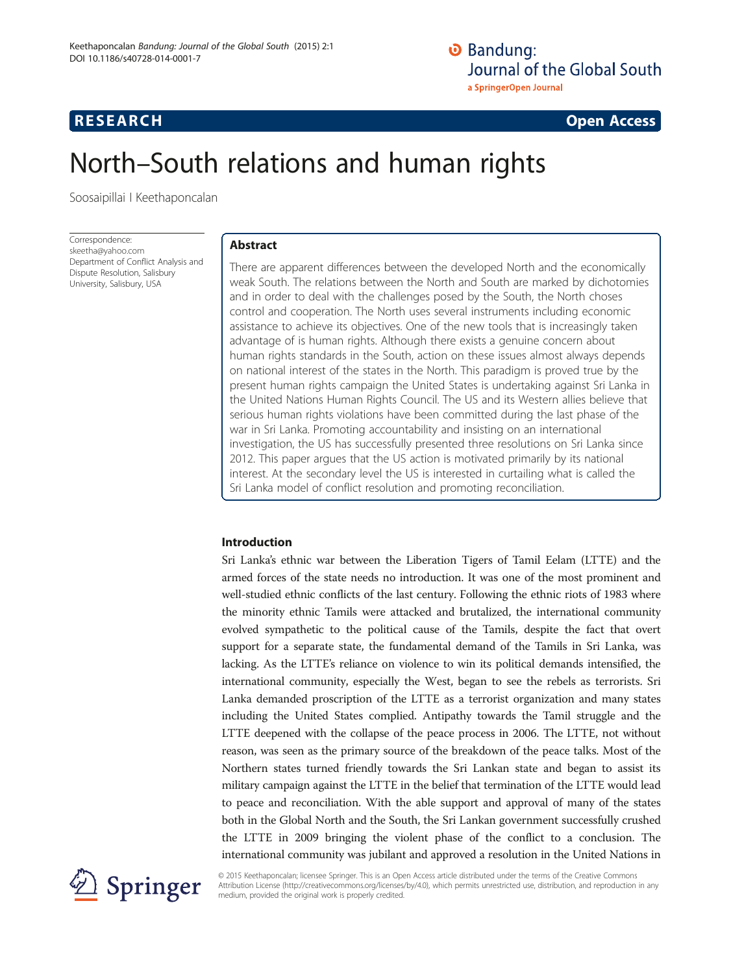# **RESEARCH RESEARCH CONSUMING ACCESS**

# North–South relations and human rights

Soosaipillai I Keethaponcalan

Correspondence: [skeetha@yahoo.com](mailto:skeetha@yahoo.com) Department of Conflict Analysis and Dispute Resolution, Salisbury University, Salisbury, USA

# Abstract

There are apparent differences between the developed North and the economically weak South. The relations between the North and South are marked by dichotomies and in order to deal with the challenges posed by the South, the North choses control and cooperation. The North uses several instruments including economic assistance to achieve its objectives. One of the new tools that is increasingly taken advantage of is human rights. Although there exists a genuine concern about human rights standards in the South, action on these issues almost always depends on national interest of the states in the North. This paradigm is proved true by the present human rights campaign the United States is undertaking against Sri Lanka in the United Nations Human Rights Council. The US and its Western allies believe that serious human rights violations have been committed during the last phase of the war in Sri Lanka. Promoting accountability and insisting on an international investigation, the US has successfully presented three resolutions on Sri Lanka since 2012. This paper argues that the US action is motivated primarily by its national interest. At the secondary level the US is interested in curtailing what is called the Sri Lanka model of conflict resolution and promoting reconciliation.

# Introduction

Sri Lanka's ethnic war between the Liberation Tigers of Tamil Eelam (LTTE) and the armed forces of the state needs no introduction. It was one of the most prominent and well-studied ethnic conflicts of the last century. Following the ethnic riots of 1983 where the minority ethnic Tamils were attacked and brutalized, the international community evolved sympathetic to the political cause of the Tamils, despite the fact that overt support for a separate state, the fundamental demand of the Tamils in Sri Lanka, was lacking. As the LTTE's reliance on violence to win its political demands intensified, the international community, especially the West, began to see the rebels as terrorists. Sri Lanka demanded proscription of the LTTE as a terrorist organization and many states including the United States complied. Antipathy towards the Tamil struggle and the LTTE deepened with the collapse of the peace process in 2006. The LTTE, not without reason, was seen as the primary source of the breakdown of the peace talks. Most of the Northern states turned friendly towards the Sri Lankan state and began to assist its military campaign against the LTTE in the belief that termination of the LTTE would lead to peace and reconciliation. With the able support and approval of many of the states both in the Global North and the South, the Sri Lankan government successfully crushed the LTTE in 2009 bringing the violent phase of the conflict to a conclusion. The international community was jubilant and approved a resolution in the United Nations in



© 2015 Keethaponcalan; licensee Springer. This is an Open Access article distributed under the terms of the Creative Commons Attribution License [\(http://creativecommons.org/licenses/by/4.0\)](http://creativecommons.org/licenses/by/4.0), which permits unrestricted use, distribution, and reproduction in any medium, provided the original work is properly credited.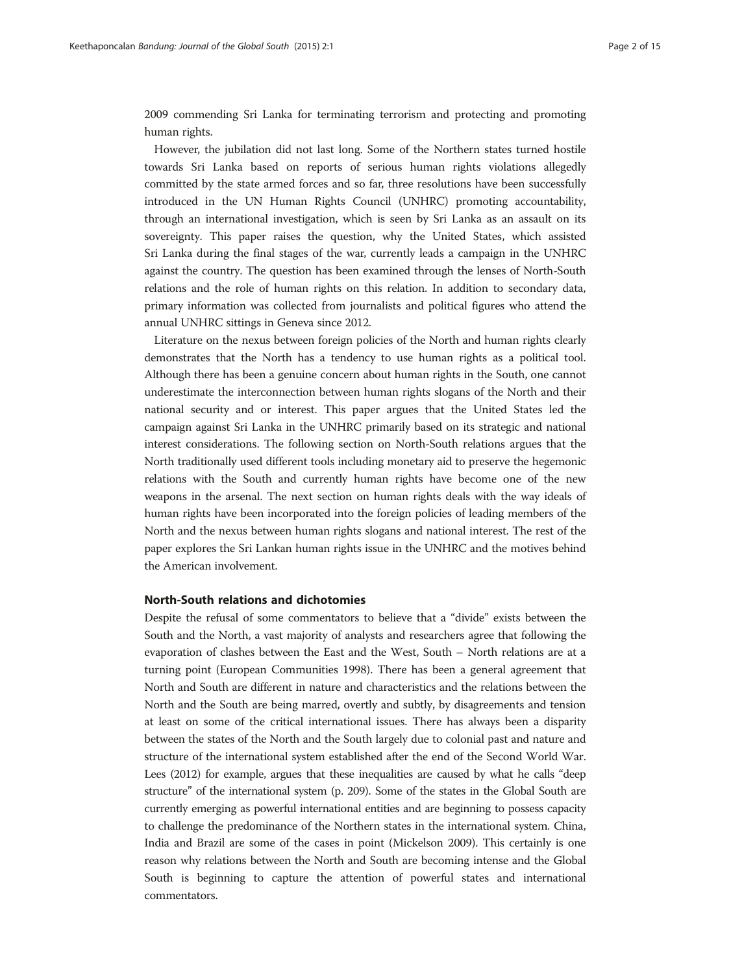2009 commending Sri Lanka for terminating terrorism and protecting and promoting human rights.

However, the jubilation did not last long. Some of the Northern states turned hostile towards Sri Lanka based on reports of serious human rights violations allegedly committed by the state armed forces and so far, three resolutions have been successfully introduced in the UN Human Rights Council (UNHRC) promoting accountability, through an international investigation, which is seen by Sri Lanka as an assault on its sovereignty. This paper raises the question, why the United States, which assisted Sri Lanka during the final stages of the war, currently leads a campaign in the UNHRC against the country. The question has been examined through the lenses of North-South relations and the role of human rights on this relation. In addition to secondary data, primary information was collected from journalists and political figures who attend the annual UNHRC sittings in Geneva since 2012.

Literature on the nexus between foreign policies of the North and human rights clearly demonstrates that the North has a tendency to use human rights as a political tool. Although there has been a genuine concern about human rights in the South, one cannot underestimate the interconnection between human rights slogans of the North and their national security and or interest. This paper argues that the United States led the campaign against Sri Lanka in the UNHRC primarily based on its strategic and national interest considerations. The following section on North-South relations argues that the North traditionally used different tools including monetary aid to preserve the hegemonic relations with the South and currently human rights have become one of the new weapons in the arsenal. The next section on human rights deals with the way ideals of human rights have been incorporated into the foreign policies of leading members of the North and the nexus between human rights slogans and national interest. The rest of the paper explores the Sri Lankan human rights issue in the UNHRC and the motives behind the American involvement.

## North-South relations and dichotomies

Despite the refusal of some commentators to believe that a "divide" exists between the South and the North, a vast majority of analysts and researchers agree that following the evaporation of clashes between the East and the West, South – North relations are at a turning point (European Communities [1998\)](#page-13-0). There has been a general agreement that North and South are different in nature and characteristics and the relations between the North and the South are being marred, overtly and subtly, by disagreements and tension at least on some of the critical international issues. There has always been a disparity between the states of the North and the South largely due to colonial past and nature and structure of the international system established after the end of the Second World War. Lees ([2012\)](#page-13-0) for example, argues that these inequalities are caused by what he calls "deep structure" of the international system (p. 209). Some of the states in the Global South are currently emerging as powerful international entities and are beginning to possess capacity to challenge the predominance of the Northern states in the international system. China, India and Brazil are some of the cases in point (Mickelson [2009](#page-14-0)). This certainly is one reason why relations between the North and South are becoming intense and the Global South is beginning to capture the attention of powerful states and international commentators.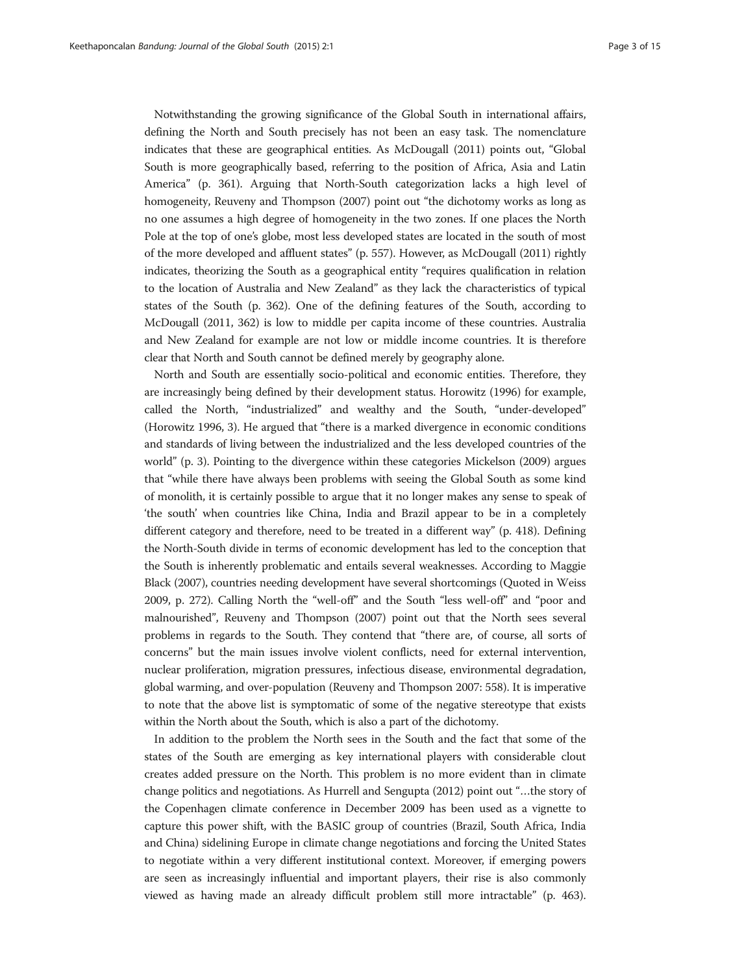Notwithstanding the growing significance of the Global South in international affairs, defining the North and South precisely has not been an easy task. The nomenclature indicates that these are geographical entities. As McDougall ([2011](#page-14-0)) points out, "Global South is more geographically based, referring to the position of Africa, Asia and Latin America" (p. 361). Arguing that North-South categorization lacks a high level of homogeneity, Reuveny and Thompson [\(2007\)](#page-14-0) point out "the dichotomy works as long as no one assumes a high degree of homogeneity in the two zones. If one places the North Pole at the top of one's globe, most less developed states are located in the south of most of the more developed and affluent states" (p. 557). However, as McDougall ([2011\)](#page-14-0) rightly indicates, theorizing the South as a geographical entity "requires qualification in relation to the location of Australia and New Zealand" as they lack the characteristics of typical states of the South (p. 362). One of the defining features of the South, according to McDougall ([2011](#page-14-0), 362) is low to middle per capita income of these countries. Australia and New Zealand for example are not low or middle income countries. It is therefore clear that North and South cannot be defined merely by geography alone.

North and South are essentially socio-political and economic entities. Therefore, they are increasingly being defined by their development status. Horowitz (1996) for example, called the North, "industrialized" and wealthy and the South, "under-developed" (Horowitz [1996](#page-13-0), 3). He argued that "there is a marked divergence in economic conditions and standards of living between the industrialized and the less developed countries of the world" (p. 3). Pointing to the divergence within these categories Mickelson [\(2009\)](#page-14-0) argues that "while there have always been problems with seeing the Global South as some kind of monolith, it is certainly possible to argue that it no longer makes any sense to speak of 'the south' when countries like China, India and Brazil appear to be in a completely different category and therefore, need to be treated in a different way" (p. 418). Defining the North-South divide in terms of economic development has led to the conception that the South is inherently problematic and entails several weaknesses. According to Maggie Black (2007), countries needing development have several shortcomings (Quoted in Weiss [2009,](#page-14-0) p. 272). Calling North the "well-off" and the South "less well-off" and "poor and malnourished", Reuveny and Thompson [\(2007\)](#page-14-0) point out that the North sees several problems in regards to the South. They contend that "there are, of course, all sorts of concerns" but the main issues involve violent conflicts, need for external intervention, nuclear proliferation, migration pressures, infectious disease, environmental degradation, global warming, and over-population (Reuveny and Thompson [2007:](#page-14-0) 558). It is imperative to note that the above list is symptomatic of some of the negative stereotype that exists within the North about the South, which is also a part of the dichotomy.

In addition to the problem the North sees in the South and the fact that some of the states of the South are emerging as key international players with considerable clout creates added pressure on the North. This problem is no more evident than in climate change politics and negotiations. As Hurrell and Sengupta ([2012\)](#page-13-0) point out "…the story of the Copenhagen climate conference in December 2009 has been used as a vignette to capture this power shift, with the BASIC group of countries (Brazil, South Africa, India and China) sidelining Europe in climate change negotiations and forcing the United States to negotiate within a very different institutional context. Moreover, if emerging powers are seen as increasingly influential and important players, their rise is also commonly viewed as having made an already difficult problem still more intractable" (p. 463).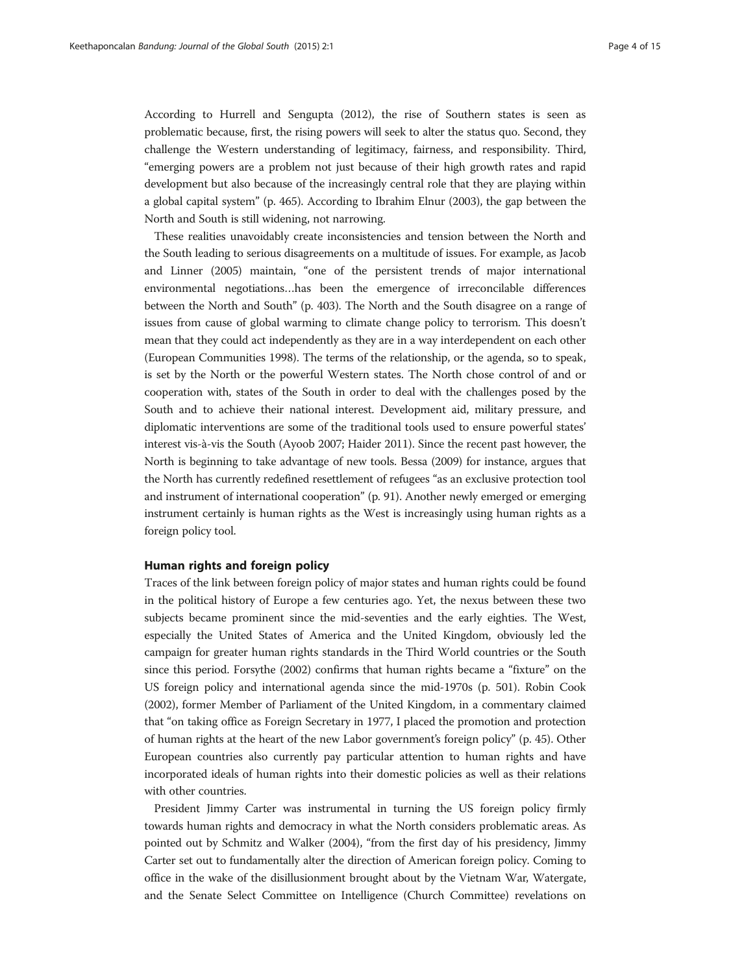According to Hurrell and Sengupta ([2012\)](#page-13-0), the rise of Southern states is seen as problematic because, first, the rising powers will seek to alter the status quo. Second, they challenge the Western understanding of legitimacy, fairness, and responsibility. Third, "emerging powers are a problem not just because of their high growth rates and rapid development but also because of the increasingly central role that they are playing within a global capital system" (p. 465). According to Ibrahim Elnur ([2003](#page-13-0)), the gap between the North and South is still widening, not narrowing.

These realities unavoidably create inconsistencies and tension between the North and the South leading to serious disagreements on a multitude of issues. For example, as Jacob and Linner ([2005](#page-13-0)) maintain, "one of the persistent trends of major international environmental negotiations…has been the emergence of irreconcilable differences between the North and South" (p. 403). The North and the South disagree on a range of issues from cause of global warming to climate change policy to terrorism. This doesn't mean that they could act independently as they are in a way interdependent on each other (European Communities [1998\)](#page-13-0). The terms of the relationship, or the agenda, so to speak, is set by the North or the powerful Western states. The North chose control of and or cooperation with, states of the South in order to deal with the challenges posed by the South and to achieve their national interest. Development aid, military pressure, and diplomatic interventions are some of the traditional tools used to ensure powerful states' interest vis-à-vis the South (Ayoob [2007;](#page-13-0) Haider [2011\)](#page-13-0). Since the recent past however, the North is beginning to take advantage of new tools. Bessa ([2009\)](#page-13-0) for instance, argues that the North has currently redefined resettlement of refugees "as an exclusive protection tool and instrument of international cooperation" (p. 91). Another newly emerged or emerging instrument certainly is human rights as the West is increasingly using human rights as a foreign policy tool.

#### Human rights and foreign policy

Traces of the link between foreign policy of major states and human rights could be found in the political history of Europe a few centuries ago. Yet, the nexus between these two subjects became prominent since the mid-seventies and the early eighties. The West, especially the United States of America and the United Kingdom, obviously led the campaign for greater human rights standards in the Third World countries or the South since this period. Forsythe [\(2002](#page-13-0)) confirms that human rights became a "fixture" on the US foreign policy and international agenda since the mid-1970s (p. 501). Robin Cook ([2002\)](#page-13-0), former Member of Parliament of the United Kingdom, in a commentary claimed that "on taking office as Foreign Secretary in 1977, I placed the promotion and protection of human rights at the heart of the new Labor government's foreign policy" (p. 45). Other European countries also currently pay particular attention to human rights and have incorporated ideals of human rights into their domestic policies as well as their relations with other countries.

President Jimmy Carter was instrumental in turning the US foreign policy firmly towards human rights and democracy in what the North considers problematic areas. As pointed out by Schmitz and Walker ([2004](#page-14-0)), "from the first day of his presidency, Jimmy Carter set out to fundamentally alter the direction of American foreign policy. Coming to office in the wake of the disillusionment brought about by the Vietnam War, Watergate, and the Senate Select Committee on Intelligence (Church Committee) revelations on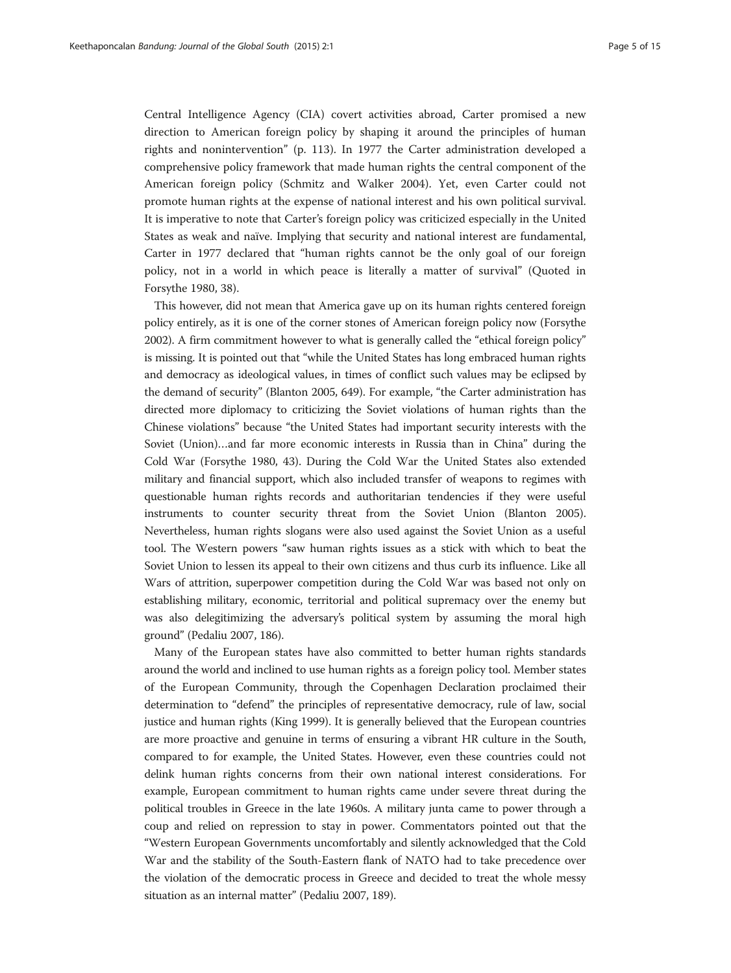Central Intelligence Agency (CIA) covert activities abroad, Carter promised a new direction to American foreign policy by shaping it around the principles of human rights and nonintervention" (p. 113). In 1977 the Carter administration developed a comprehensive policy framework that made human rights the central component of the American foreign policy (Schmitz and Walker [2004](#page-14-0)). Yet, even Carter could not promote human rights at the expense of national interest and his own political survival. It is imperative to note that Carter's foreign policy was criticized especially in the United States as weak and naïve. Implying that security and national interest are fundamental, Carter in 1977 declared that "human rights cannot be the only goal of our foreign policy, not in a world in which peace is literally a matter of survival" (Quoted in Forsythe [1980](#page-13-0), 38).

This however, did not mean that America gave up on its human rights centered foreign policy entirely, as it is one of the corner stones of American foreign policy now (Forsythe [2002\)](#page-13-0). A firm commitment however to what is generally called the "ethical foreign policy" is missing. It is pointed out that "while the United States has long embraced human rights and democracy as ideological values, in times of conflict such values may be eclipsed by the demand of security" (Blanton [2005](#page-13-0), 649). For example, "the Carter administration has directed more diplomacy to criticizing the Soviet violations of human rights than the Chinese violations" because "the United States had important security interests with the Soviet (Union)…and far more economic interests in Russia than in China" during the Cold War (Forsythe [1980](#page-13-0), 43). During the Cold War the United States also extended military and financial support, which also included transfer of weapons to regimes with questionable human rights records and authoritarian tendencies if they were useful instruments to counter security threat from the Soviet Union (Blanton [2005](#page-13-0)). Nevertheless, human rights slogans were also used against the Soviet Union as a useful tool. The Western powers "saw human rights issues as a stick with which to beat the Soviet Union to lessen its appeal to their own citizens and thus curb its influence. Like all Wars of attrition, superpower competition during the Cold War was based not only on establishing military, economic, territorial and political supremacy over the enemy but was also delegitimizing the adversary's political system by assuming the moral high ground" (Pedaliu [2007](#page-14-0), 186).

Many of the European states have also committed to better human rights standards around the world and inclined to use human rights as a foreign policy tool. Member states of the European Community, through the Copenhagen Declaration proclaimed their determination to "defend" the principles of representative democracy, rule of law, social justice and human rights (King [1999\)](#page-13-0). It is generally believed that the European countries are more proactive and genuine in terms of ensuring a vibrant HR culture in the South, compared to for example, the United States. However, even these countries could not delink human rights concerns from their own national interest considerations. For example, European commitment to human rights came under severe threat during the political troubles in Greece in the late 1960s. A military junta came to power through a coup and relied on repression to stay in power. Commentators pointed out that the "Western European Governments uncomfortably and silently acknowledged that the Cold War and the stability of the South-Eastern flank of NATO had to take precedence over the violation of the democratic process in Greece and decided to treat the whole messy situation as an internal matter" (Pedaliu [2007](#page-14-0), 189).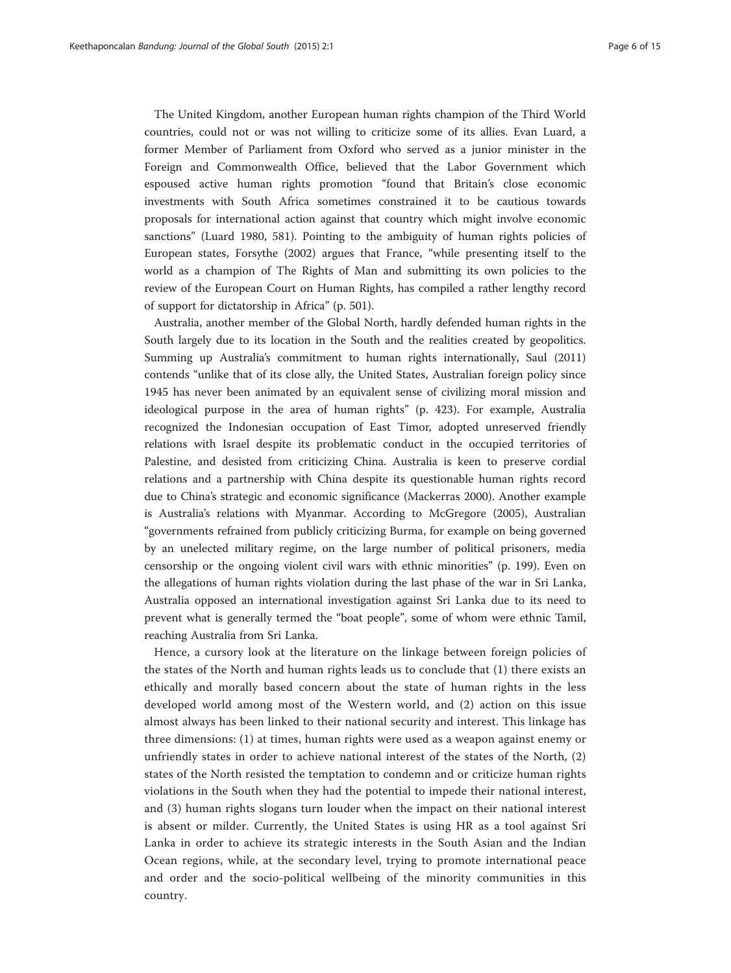The United Kingdom, another European human rights champion of the Third World countries, could not or was not willing to criticize some of its allies. Evan Luard, a former Member of Parliament from Oxford who served as a junior minister in the Foreign and Commonwealth Office, believed that the Labor Government which espoused active human rights promotion "found that Britain's close economic investments with South Africa sometimes constrained it to be cautious towards proposals for international action against that country which might involve economic sanctions" (Luard [1980](#page-13-0), 581). Pointing to the ambiguity of human rights policies of European states, Forsythe ([2002](#page-13-0)) argues that France, "while presenting itself to the world as a champion of The Rights of Man and submitting its own policies to the review of the European Court on Human Rights, has compiled a rather lengthy record of support for dictatorship in Africa" (p. 501).

Australia, another member of the Global North, hardly defended human rights in the South largely due to its location in the South and the realities created by geopolitics. Summing up Australia's commitment to human rights internationally, Saul ([2011](#page-14-0)) contends "unlike that of its close ally, the United States, Australian foreign policy since 1945 has never been animated by an equivalent sense of civilizing moral mission and ideological purpose in the area of human rights" (p. 423). For example, Australia recognized the Indonesian occupation of East Timor, adopted unreserved friendly relations with Israel despite its problematic conduct in the occupied territories of Palestine, and desisted from criticizing China. Australia is keen to preserve cordial relations and a partnership with China despite its questionable human rights record due to China's strategic and economic significance (Mackerras [2000\)](#page-14-0). Another example is Australia's relations with Myanmar. According to McGregore ([2005\)](#page-14-0), Australian "governments refrained from publicly criticizing Burma, for example on being governed by an unelected military regime, on the large number of political prisoners, media censorship or the ongoing violent civil wars with ethnic minorities" (p. 199). Even on the allegations of human rights violation during the last phase of the war in Sri Lanka, Australia opposed an international investigation against Sri Lanka due to its need to prevent what is generally termed the "boat people", some of whom were ethnic Tamil, reaching Australia from Sri Lanka.

Hence, a cursory look at the literature on the linkage between foreign policies of the states of the North and human rights leads us to conclude that (1) there exists an ethically and morally based concern about the state of human rights in the less developed world among most of the Western world, and (2) action on this issue almost always has been linked to their national security and interest. This linkage has three dimensions: (1) at times, human rights were used as a weapon against enemy or unfriendly states in order to achieve national interest of the states of the North, (2) states of the North resisted the temptation to condemn and or criticize human rights violations in the South when they had the potential to impede their national interest, and (3) human rights slogans turn louder when the impact on their national interest is absent or milder. Currently, the United States is using HR as a tool against Sri Lanka in order to achieve its strategic interests in the South Asian and the Indian Ocean regions, while, at the secondary level, trying to promote international peace and order and the socio-political wellbeing of the minority communities in this country.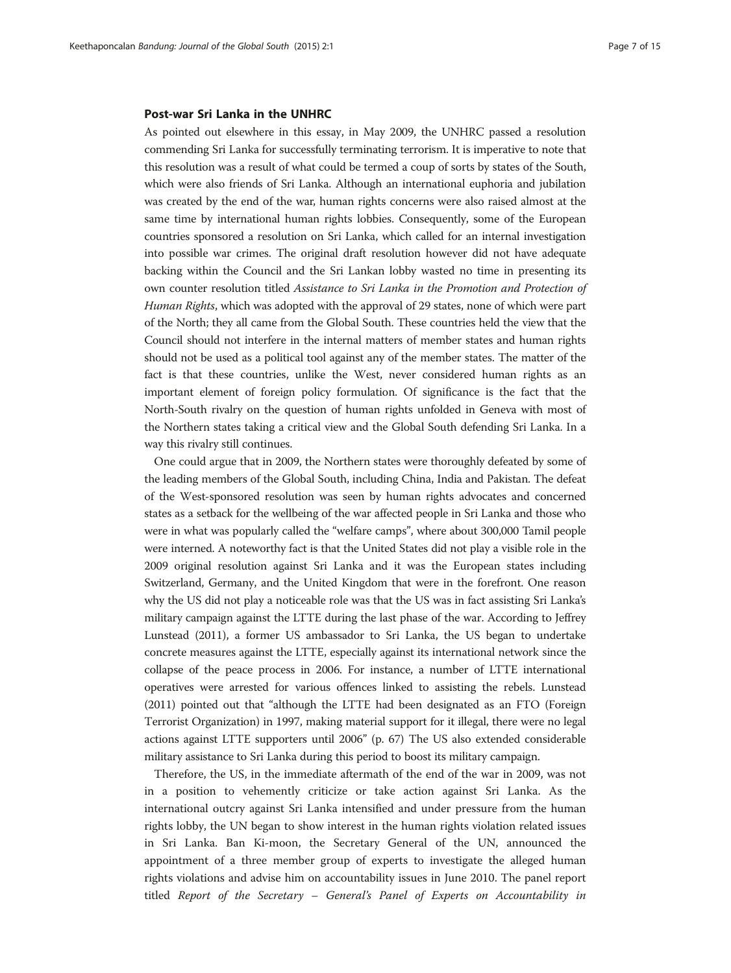#### Post-war Sri Lanka in the UNHRC

As pointed out elsewhere in this essay, in May 2009, the UNHRC passed a resolution commending Sri Lanka for successfully terminating terrorism. It is imperative to note that this resolution was a result of what could be termed a coup of sorts by states of the South, which were also friends of Sri Lanka. Although an international euphoria and jubilation was created by the end of the war, human rights concerns were also raised almost at the same time by international human rights lobbies. Consequently, some of the European countries sponsored a resolution on Sri Lanka, which called for an internal investigation into possible war crimes. The original draft resolution however did not have adequate backing within the Council and the Sri Lankan lobby wasted no time in presenting its own counter resolution titled Assistance to Sri Lanka in the Promotion and Protection of Human Rights, which was adopted with the approval of 29 states, none of which were part of the North; they all came from the Global South. These countries held the view that the Council should not interfere in the internal matters of member states and human rights should not be used as a political tool against any of the member states. The matter of the fact is that these countries, unlike the West, never considered human rights as an important element of foreign policy formulation. Of significance is the fact that the North-South rivalry on the question of human rights unfolded in Geneva with most of the Northern states taking a critical view and the Global South defending Sri Lanka. In a way this rivalry still continues.

One could argue that in 2009, the Northern states were thoroughly defeated by some of the leading members of the Global South, including China, India and Pakistan. The defeat of the West-sponsored resolution was seen by human rights advocates and concerned states as a setback for the wellbeing of the war affected people in Sri Lanka and those who were in what was popularly called the "welfare camps", where about 300,000 Tamil people were interned. A noteworthy fact is that the United States did not play a visible role in the 2009 original resolution against Sri Lanka and it was the European states including Switzerland, Germany, and the United Kingdom that were in the forefront. One reason why the US did not play a noticeable role was that the US was in fact assisting Sri Lanka's military campaign against the LTTE during the last phase of the war. According to Jeffrey Lunstead [\(2011](#page-14-0)), a former US ambassador to Sri Lanka, the US began to undertake concrete measures against the LTTE, especially against its international network since the collapse of the peace process in 2006. For instance, a number of LTTE international operatives were arrested for various offences linked to assisting the rebels. Lunstead ([2011\)](#page-14-0) pointed out that "although the LTTE had been designated as an FTO (Foreign Terrorist Organization) in 1997, making material support for it illegal, there were no legal actions against LTTE supporters until 2006" (p. 67) The US also extended considerable military assistance to Sri Lanka during this period to boost its military campaign.

Therefore, the US, in the immediate aftermath of the end of the war in 2009, was not in a position to vehemently criticize or take action against Sri Lanka. As the international outcry against Sri Lanka intensified and under pressure from the human rights lobby, the UN began to show interest in the human rights violation related issues in Sri Lanka. Ban Ki-moon, the Secretary General of the UN, announced the appointment of a three member group of experts to investigate the alleged human rights violations and advise him on accountability issues in June 2010. The panel report titled Report of the Secretary – General's Panel of Experts on Accountability in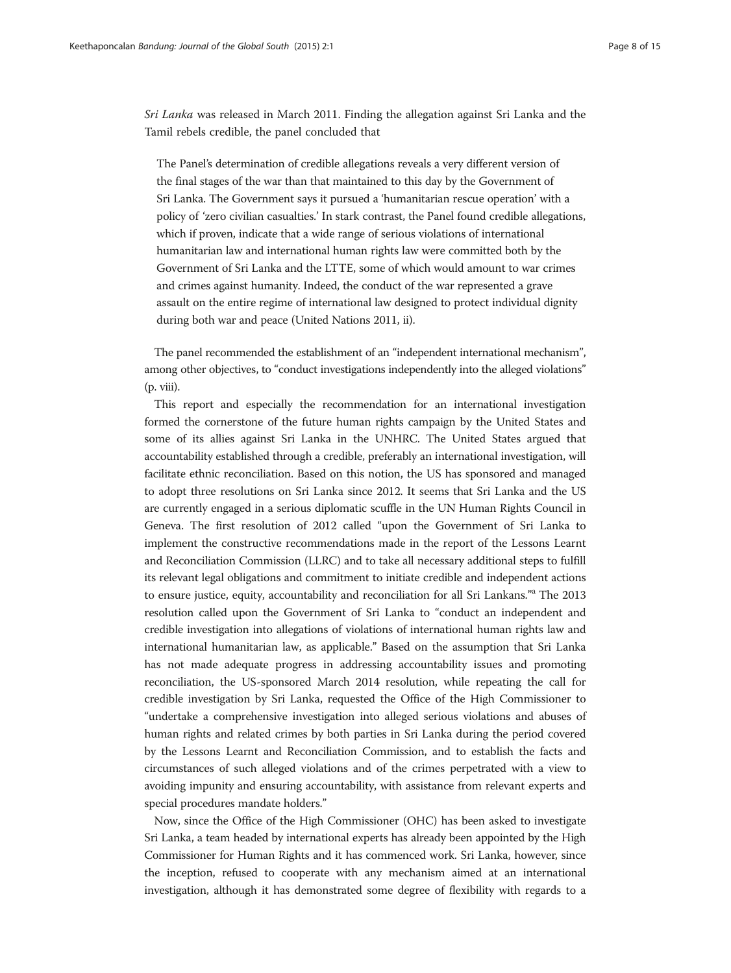Sri Lanka was released in March 2011. Finding the allegation against Sri Lanka and the Tamil rebels credible, the panel concluded that

The Panel's determination of credible allegations reveals a very different version of the final stages of the war than that maintained to this day by the Government of Sri Lanka. The Government says it pursued a 'humanitarian rescue operation' with a policy of 'zero civilian casualties.' In stark contrast, the Panel found credible allegations, which if proven, indicate that a wide range of serious violations of international humanitarian law and international human rights law were committed both by the Government of Sri Lanka and the LTTE, some of which would amount to war crimes and crimes against humanity. Indeed, the conduct of the war represented a grave assault on the entire regime of international law designed to protect individual dignity during both war and peace (United Nations [2011,](#page-14-0) ii).

The panel recommended the establishment of an "independent international mechanism", among other objectives, to "conduct investigations independently into the alleged violations" (p. viii).

This report and especially the recommendation for an international investigation formed the cornerstone of the future human rights campaign by the United States and some of its allies against Sri Lanka in the UNHRC. The United States argued that accountability established through a credible, preferably an international investigation, will facilitate ethnic reconciliation. Based on this notion, the US has sponsored and managed to adopt three resolutions on Sri Lanka since 2012. It seems that Sri Lanka and the US are currently engaged in a serious diplomatic scuffle in the UN Human Rights Council in Geneva. The first resolution of 2012 called "upon the Government of Sri Lanka to implement the constructive recommendations made in the report of the Lessons Learnt and Reconciliation Commission (LLRC) and to take all necessary additional steps to fulfill its relevant legal obligations and commitment to initiate credible and independent actions to ensure justice, equity, accountability and reconciliation for all Sri Lankans."<sup>a</sup> The 2013 resolution called upon the Government of Sri Lanka to "conduct an independent and credible investigation into allegations of violations of international human rights law and international humanitarian law, as applicable." Based on the assumption that Sri Lanka has not made adequate progress in addressing accountability issues and promoting reconciliation, the US-sponsored March 2014 resolution, while repeating the call for credible investigation by Sri Lanka, requested the Office of the High Commissioner to "undertake a comprehensive investigation into alleged serious violations and abuses of human rights and related crimes by both parties in Sri Lanka during the period covered by the Lessons Learnt and Reconciliation Commission, and to establish the facts and circumstances of such alleged violations and of the crimes perpetrated with a view to avoiding impunity and ensuring accountability, with assistance from relevant experts and special procedures mandate holders."

Now, since the Office of the High Commissioner (OHC) has been asked to investigate Sri Lanka, a team headed by international experts has already been appointed by the High Commissioner for Human Rights and it has commenced work. Sri Lanka, however, since the inception, refused to cooperate with any mechanism aimed at an international investigation, although it has demonstrated some degree of flexibility with regards to a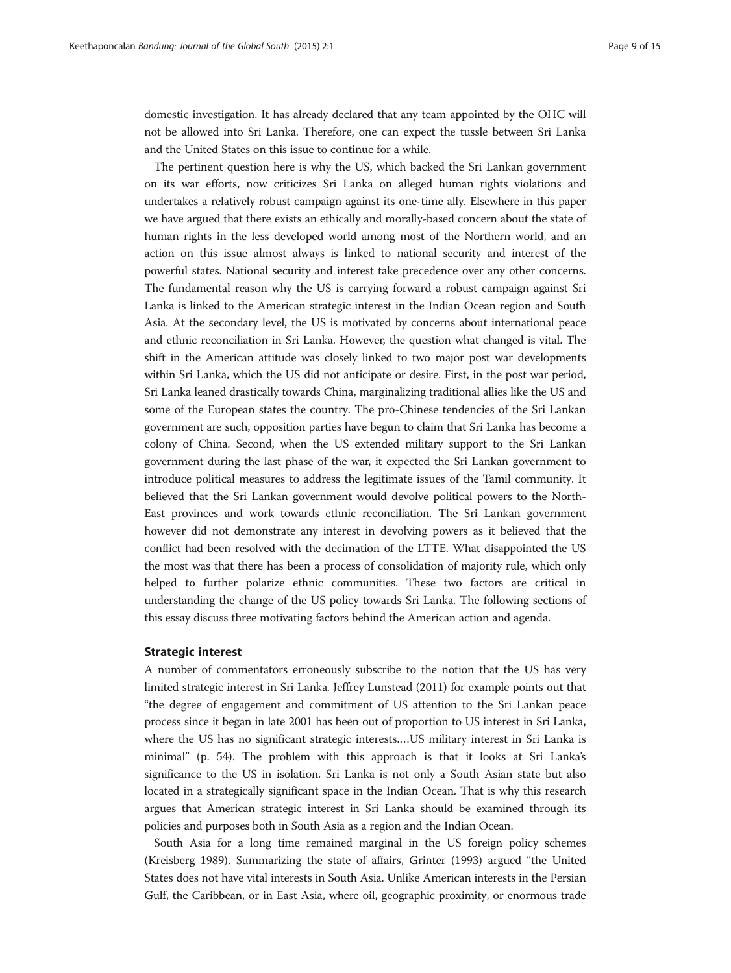domestic investigation. It has already declared that any team appointed by the OHC will not be allowed into Sri Lanka. Therefore, one can expect the tussle between Sri Lanka and the United States on this issue to continue for a while.

The pertinent question here is why the US, which backed the Sri Lankan government on its war efforts, now criticizes Sri Lanka on alleged human rights violations and undertakes a relatively robust campaign against its one-time ally. Elsewhere in this paper we have argued that there exists an ethically and morally-based concern about the state of human rights in the less developed world among most of the Northern world, and an action on this issue almost always is linked to national security and interest of the powerful states. National security and interest take precedence over any other concerns. The fundamental reason why the US is carrying forward a robust campaign against Sri Lanka is linked to the American strategic interest in the Indian Ocean region and South Asia. At the secondary level, the US is motivated by concerns about international peace and ethnic reconciliation in Sri Lanka. However, the question what changed is vital. The shift in the American attitude was closely linked to two major post war developments within Sri Lanka, which the US did not anticipate or desire. First, in the post war period, Sri Lanka leaned drastically towards China, marginalizing traditional allies like the US and some of the European states the country. The pro-Chinese tendencies of the Sri Lankan government are such, opposition parties have begun to claim that Sri Lanka has become a colony of China. Second, when the US extended military support to the Sri Lankan government during the last phase of the war, it expected the Sri Lankan government to introduce political measures to address the legitimate issues of the Tamil community. It believed that the Sri Lankan government would devolve political powers to the North-East provinces and work towards ethnic reconciliation. The Sri Lankan government however did not demonstrate any interest in devolving powers as it believed that the conflict had been resolved with the decimation of the LTTE. What disappointed the US the most was that there has been a process of consolidation of majority rule, which only helped to further polarize ethnic communities. These two factors are critical in understanding the change of the US policy towards Sri Lanka. The following sections of this essay discuss three motivating factors behind the American action and agenda.

#### Strategic interest

A number of commentators erroneously subscribe to the notion that the US has very limited strategic interest in Sri Lanka. Jeffrey Lunstead [\(2011](#page-14-0)) for example points out that "the degree of engagement and commitment of US attention to the Sri Lankan peace process since it began in late 2001 has been out of proportion to US interest in Sri Lanka, where the US has no significant strategic interests.…US military interest in Sri Lanka is minimal" (p. 54). The problem with this approach is that it looks at Sri Lanka's significance to the US in isolation. Sri Lanka is not only a South Asian state but also located in a strategically significant space in the Indian Ocean. That is why this research argues that American strategic interest in Sri Lanka should be examined through its policies and purposes both in South Asia as a region and the Indian Ocean.

South Asia for a long time remained marginal in the US foreign policy schemes (Kreisberg [1989\)](#page-13-0). Summarizing the state of affairs, Grinter ([1993](#page-13-0)) argued "the United States does not have vital interests in South Asia. Unlike American interests in the Persian Gulf, the Caribbean, or in East Asia, where oil, geographic proximity, or enormous trade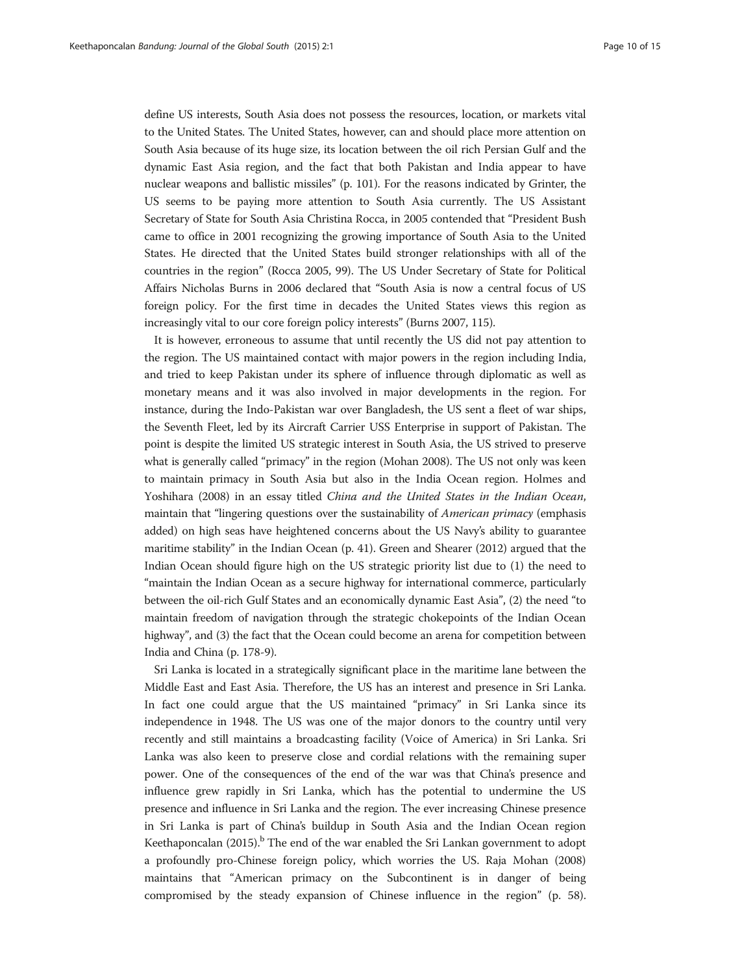define US interests, South Asia does not possess the resources, location, or markets vital to the United States. The United States, however, can and should place more attention on South Asia because of its huge size, its location between the oil rich Persian Gulf and the dynamic East Asia region, and the fact that both Pakistan and India appear to have nuclear weapons and ballistic missiles" (p. 101). For the reasons indicated by Grinter, the US seems to be paying more attention to South Asia currently. The US Assistant Secretary of State for South Asia Christina Rocca, in 2005 contended that "President Bush came to office in 2001 recognizing the growing importance of South Asia to the United States. He directed that the United States build stronger relationships with all of the countries in the region" (Rocca [2005,](#page-14-0) 99). The US Under Secretary of State for Political Affairs Nicholas Burns in 2006 declared that "South Asia is now a central focus of US foreign policy. For the first time in decades the United States views this region as increasingly vital to our core foreign policy interests" (Burns [2007,](#page-13-0) 115).

It is however, erroneous to assume that until recently the US did not pay attention to the region. The US maintained contact with major powers in the region including India, and tried to keep Pakistan under its sphere of influence through diplomatic as well as monetary means and it was also involved in major developments in the region. For instance, during the Indo-Pakistan war over Bangladesh, the US sent a fleet of war ships, the Seventh Fleet, led by its Aircraft Carrier USS Enterprise in support of Pakistan. The point is despite the limited US strategic interest in South Asia, the US strived to preserve what is generally called "primacy" in the region (Mohan [2008](#page-14-0)). The US not only was keen to maintain primacy in South Asia but also in the India Ocean region. Holmes and Yoshihara ([2008](#page-13-0)) in an essay titled China and the United States in the Indian Ocean, maintain that "lingering questions over the sustainability of *American primacy* (emphasis added) on high seas have heightened concerns about the US Navy's ability to guarantee maritime stability" in the Indian Ocean (p. 41). Green and Shearer ([2012](#page-13-0)) argued that the Indian Ocean should figure high on the US strategic priority list due to (1) the need to "maintain the Indian Ocean as a secure highway for international commerce, particularly between the oil-rich Gulf States and an economically dynamic East Asia", (2) the need "to maintain freedom of navigation through the strategic chokepoints of the Indian Ocean highway", and (3) the fact that the Ocean could become an arena for competition between India and China (p. 178-9).

Sri Lanka is located in a strategically significant place in the maritime lane between the Middle East and East Asia. Therefore, the US has an interest and presence in Sri Lanka. In fact one could argue that the US maintained "primacy" in Sri Lanka since its independence in 1948. The US was one of the major donors to the country until very recently and still maintains a broadcasting facility (Voice of America) in Sri Lanka. Sri Lanka was also keen to preserve close and cordial relations with the remaining super power. One of the consequences of the end of the war was that China's presence and influence grew rapidly in Sri Lanka, which has the potential to undermine the US presence and influence in Sri Lanka and the region. The ever increasing Chinese presence in Sri Lanka is part of China's buildup in South Asia and the Indian Ocean region Keethaponcalan [\(2015\)](#page-13-0).<sup>b</sup> The end of the war enabled the Sri Lankan government to adopt a profoundly pro-Chinese foreign policy, which worries the US. Raja Mohan [\(2008](#page-14-0)) maintains that "American primacy on the Subcontinent is in danger of being compromised by the steady expansion of Chinese influence in the region" (p. 58).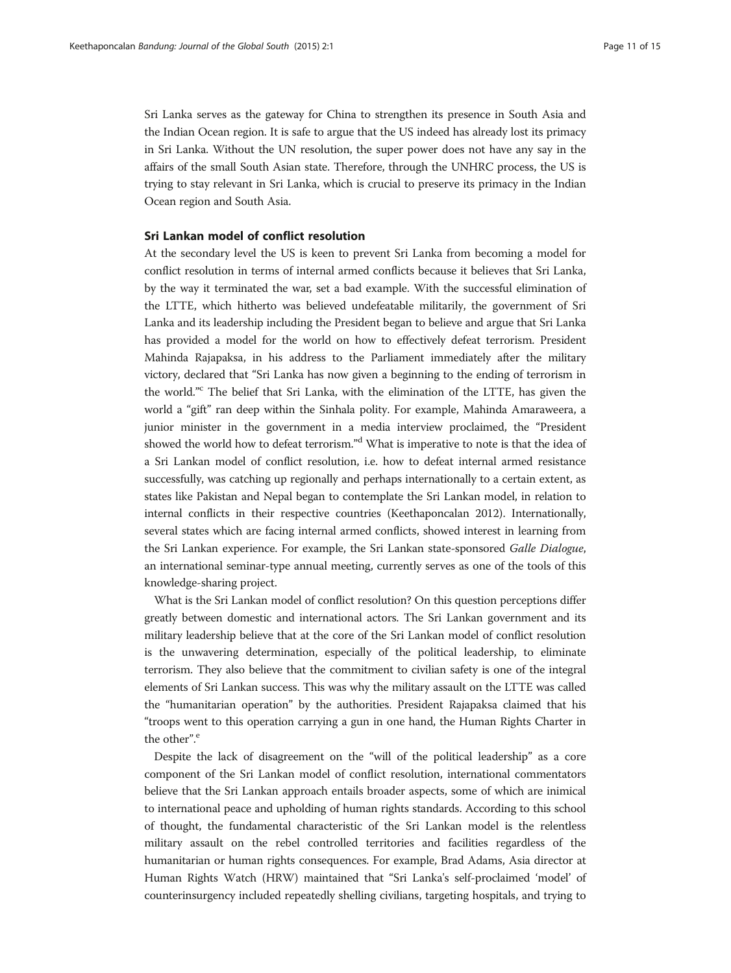Sri Lanka serves as the gateway for China to strengthen its presence in South Asia and the Indian Ocean region. It is safe to argue that the US indeed has already lost its primacy in Sri Lanka. Without the UN resolution, the super power does not have any say in the affairs of the small South Asian state. Therefore, through the UNHRC process, the US is trying to stay relevant in Sri Lanka, which is crucial to preserve its primacy in the Indian Ocean region and South Asia.

#### Sri Lankan model of conflict resolution

At the secondary level the US is keen to prevent Sri Lanka from becoming a model for conflict resolution in terms of internal armed conflicts because it believes that Sri Lanka, by the way it terminated the war, set a bad example. With the successful elimination of the LTTE, which hitherto was believed undefeatable militarily, the government of Sri Lanka and its leadership including the President began to believe and argue that Sri Lanka has provided a model for the world on how to effectively defeat terrorism. President Mahinda Rajapaksa, in his address to the Parliament immediately after the military victory, declared that "Sri Lanka has now given a beginning to the ending of terrorism in the world."<sup>c</sup> The belief that Sri Lanka, with the elimination of the LTTE, has given the world a "gift" ran deep within the Sinhala polity. For example, Mahinda Amaraweera, a junior minister in the government in a media interview proclaimed, the "President showed the world how to defeat terrorism."<sup>d</sup> What is imperative to note is that the idea of a Sri Lankan model of conflict resolution, i.e. how to defeat internal armed resistance successfully, was catching up regionally and perhaps internationally to a certain extent, as states like Pakistan and Nepal began to contemplate the Sri Lankan model, in relation to internal conflicts in their respective countries (Keethaponcalan [2012\)](#page-13-0). Internationally, several states which are facing internal armed conflicts, showed interest in learning from the Sri Lankan experience. For example, the Sri Lankan state-sponsored Galle Dialogue, an international seminar-type annual meeting, currently serves as one of the tools of this knowledge-sharing project.

What is the Sri Lankan model of conflict resolution? On this question perceptions differ greatly between domestic and international actors. The Sri Lankan government and its military leadership believe that at the core of the Sri Lankan model of conflict resolution is the unwavering determination, especially of the political leadership, to eliminate terrorism. They also believe that the commitment to civilian safety is one of the integral elements of Sri Lankan success. This was why the military assault on the LTTE was called the "humanitarian operation" by the authorities. President Rajapaksa claimed that his "troops went to this operation carrying a gun in one hand, the Human Rights Charter in the other".<sup>e</sup>

Despite the lack of disagreement on the "will of the political leadership" as a core component of the Sri Lankan model of conflict resolution, international commentators believe that the Sri Lankan approach entails broader aspects, some of which are inimical to international peace and upholding of human rights standards. According to this school of thought, the fundamental characteristic of the Sri Lankan model is the relentless military assault on the rebel controlled territories and facilities regardless of the humanitarian or human rights consequences. For example, Brad Adams, Asia director at Human Rights Watch (HRW) maintained that "Sri Lanka's self-proclaimed 'model' of counterinsurgency included repeatedly shelling civilians, targeting hospitals, and trying to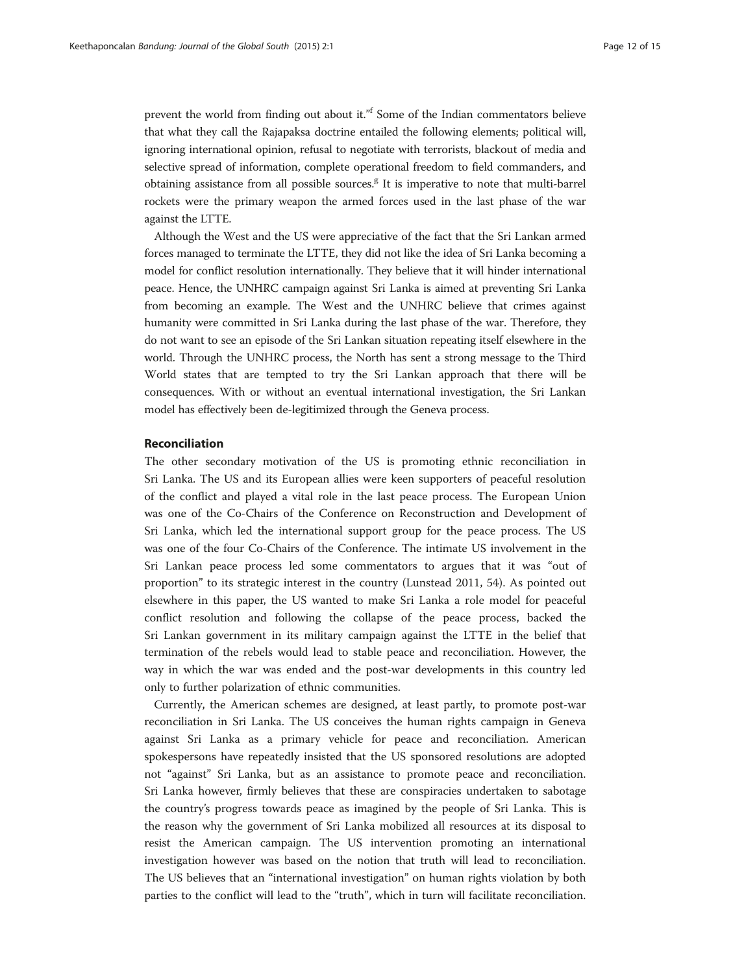prevent the world from finding out about it."<sup>f</sup> Some of the Indian commentators believe that what they call the Rajapaksa doctrine entailed the following elements; political will, ignoring international opinion, refusal to negotiate with terrorists, blackout of media and selective spread of information, complete operational freedom to field commanders, and obtaining assistance from all possible sources.<sup>g</sup> It is imperative to note that multi-barrel rockets were the primary weapon the armed forces used in the last phase of the war against the LTTE.

Although the West and the US were appreciative of the fact that the Sri Lankan armed forces managed to terminate the LTTE, they did not like the idea of Sri Lanka becoming a model for conflict resolution internationally. They believe that it will hinder international peace. Hence, the UNHRC campaign against Sri Lanka is aimed at preventing Sri Lanka from becoming an example. The West and the UNHRC believe that crimes against humanity were committed in Sri Lanka during the last phase of the war. Therefore, they do not want to see an episode of the Sri Lankan situation repeating itself elsewhere in the world. Through the UNHRC process, the North has sent a strong message to the Third World states that are tempted to try the Sri Lankan approach that there will be consequences. With or without an eventual international investigation, the Sri Lankan model has effectively been de-legitimized through the Geneva process.

#### Reconciliation

The other secondary motivation of the US is promoting ethnic reconciliation in Sri Lanka. The US and its European allies were keen supporters of peaceful resolution of the conflict and played a vital role in the last peace process. The European Union was one of the Co-Chairs of the Conference on Reconstruction and Development of Sri Lanka, which led the international support group for the peace process. The US was one of the four Co-Chairs of the Conference. The intimate US involvement in the Sri Lankan peace process led some commentators to argues that it was "out of proportion" to its strategic interest in the country (Lunstead [2011](#page-14-0), 54). As pointed out elsewhere in this paper, the US wanted to make Sri Lanka a role model for peaceful conflict resolution and following the collapse of the peace process, backed the Sri Lankan government in its military campaign against the LTTE in the belief that termination of the rebels would lead to stable peace and reconciliation. However, the way in which the war was ended and the post-war developments in this country led only to further polarization of ethnic communities.

Currently, the American schemes are designed, at least partly, to promote post-war reconciliation in Sri Lanka. The US conceives the human rights campaign in Geneva against Sri Lanka as a primary vehicle for peace and reconciliation. American spokespersons have repeatedly insisted that the US sponsored resolutions are adopted not "against" Sri Lanka, but as an assistance to promote peace and reconciliation. Sri Lanka however, firmly believes that these are conspiracies undertaken to sabotage the country's progress towards peace as imagined by the people of Sri Lanka. This is the reason why the government of Sri Lanka mobilized all resources at its disposal to resist the American campaign. The US intervention promoting an international investigation however was based on the notion that truth will lead to reconciliation. The US believes that an "international investigation" on human rights violation by both parties to the conflict will lead to the "truth", which in turn will facilitate reconciliation.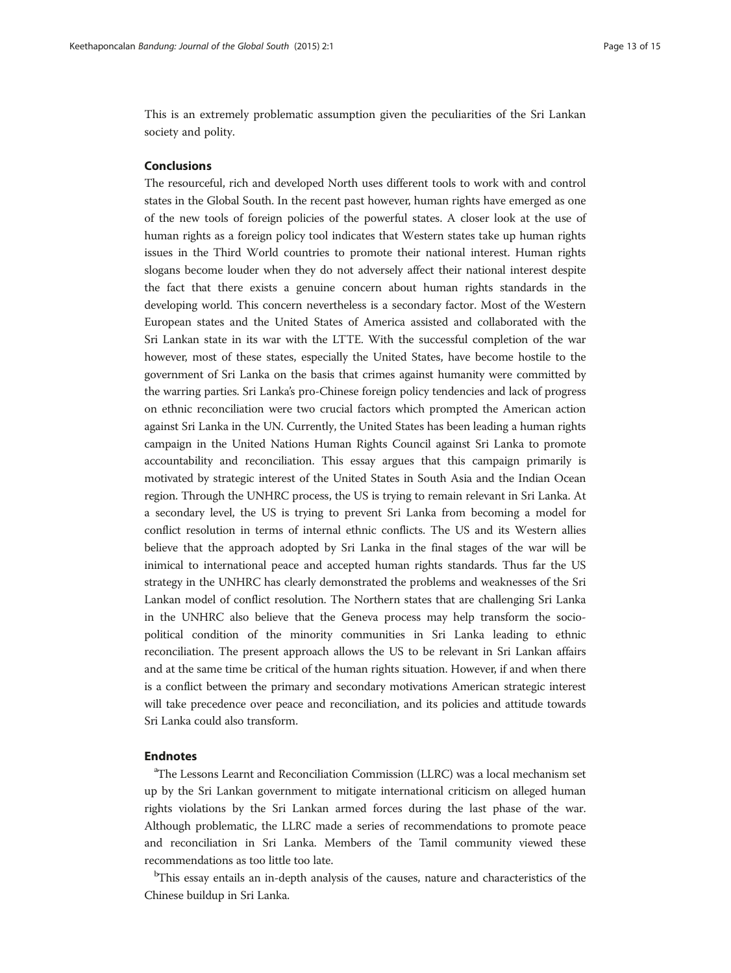This is an extremely problematic assumption given the peculiarities of the Sri Lankan society and polity.

## Conclusions

The resourceful, rich and developed North uses different tools to work with and control states in the Global South. In the recent past however, human rights have emerged as one of the new tools of foreign policies of the powerful states. A closer look at the use of human rights as a foreign policy tool indicates that Western states take up human rights issues in the Third World countries to promote their national interest. Human rights slogans become louder when they do not adversely affect their national interest despite the fact that there exists a genuine concern about human rights standards in the developing world. This concern nevertheless is a secondary factor. Most of the Western European states and the United States of America assisted and collaborated with the Sri Lankan state in its war with the LTTE. With the successful completion of the war however, most of these states, especially the United States, have become hostile to the government of Sri Lanka on the basis that crimes against humanity were committed by the warring parties. Sri Lanka's pro-Chinese foreign policy tendencies and lack of progress on ethnic reconciliation were two crucial factors which prompted the American action against Sri Lanka in the UN. Currently, the United States has been leading a human rights campaign in the United Nations Human Rights Council against Sri Lanka to promote accountability and reconciliation. This essay argues that this campaign primarily is motivated by strategic interest of the United States in South Asia and the Indian Ocean region. Through the UNHRC process, the US is trying to remain relevant in Sri Lanka. At a secondary level, the US is trying to prevent Sri Lanka from becoming a model for conflict resolution in terms of internal ethnic conflicts. The US and its Western allies believe that the approach adopted by Sri Lanka in the final stages of the war will be inimical to international peace and accepted human rights standards. Thus far the US strategy in the UNHRC has clearly demonstrated the problems and weaknesses of the Sri Lankan model of conflict resolution. The Northern states that are challenging Sri Lanka in the UNHRC also believe that the Geneva process may help transform the sociopolitical condition of the minority communities in Sri Lanka leading to ethnic reconciliation. The present approach allows the US to be relevant in Sri Lankan affairs and at the same time be critical of the human rights situation. However, if and when there is a conflict between the primary and secondary motivations American strategic interest will take precedence over peace and reconciliation, and its policies and attitude towards Sri Lanka could also transform.

### Endnotes

<sup>a</sup>The Lessons Learnt and Reconciliation Commission (LLRC) was a local mechanism set up by the Sri Lankan government to mitigate international criticism on alleged human rights violations by the Sri Lankan armed forces during the last phase of the war. Although problematic, the LLRC made a series of recommendations to promote peace and reconciliation in Sri Lanka. Members of the Tamil community viewed these recommendations as too little too late.

<sup>b</sup>This essay entails an in-depth analysis of the causes, nature and characteristics of the Chinese buildup in Sri Lanka.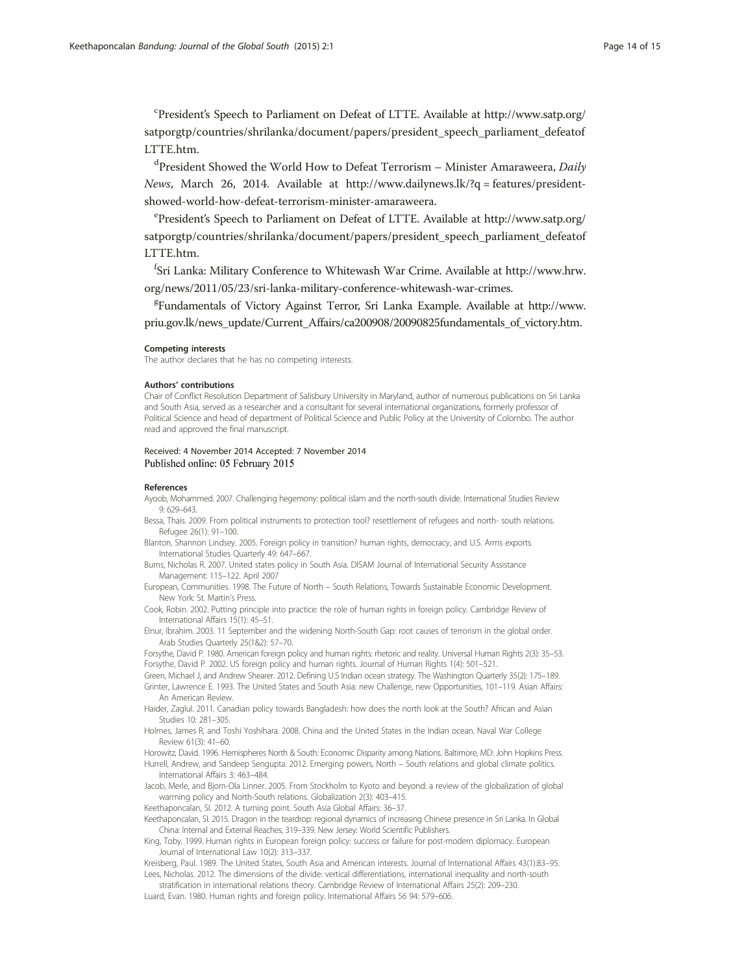<span id="page-13-0"></span><sup>c</sup>President's Speech to Parliament on Defeat of LTTE. Available at [http://www.satp.org/](http://www.satp.org/satporgtp/countries/shrilanka/document/papers/president_speech_parliament_defeatofLTTE.htm) [satporgtp/countries/shrilanka/document/papers/president\\_speech\\_parliament\\_defeatof](http://www.satp.org/satporgtp/countries/shrilanka/document/papers/president_speech_parliament_defeatofLTTE.htm) [LTTE.htm](http://www.satp.org/satporgtp/countries/shrilanka/document/papers/president_speech_parliament_defeatofLTTE.htm).

<sup>d</sup>President Showed the World How to Defeat Terrorism - Minister Amaraweera, Daily News, March 26, 2014. Available at [http://www.dailynews.lk/?q = features/president](http://www.dailynews.lk/?q=features/president-showed-world-how-defeat-terrorism-minister-amaraweera)[showed-world-how-defeat-terrorism-minister-amaraweera.](http://www.dailynews.lk/?q=features/president-showed-world-how-defeat-terrorism-minister-amaraweera)

e President's Speech to Parliament on Defeat of LTTE. Available at [http://www.satp.org/](http://www.satp.org/satporgtp/countries/shrilanka/document/papers/president_speech_parliament_defeatofLTTE.htm) [satporgtp/countries/shrilanka/document/papers/president\\_speech\\_parliament\\_defeatof](http://www.satp.org/satporgtp/countries/shrilanka/document/papers/president_speech_parliament_defeatofLTTE.htm) [LTTE.htm](http://www.satp.org/satporgtp/countries/shrilanka/document/papers/president_speech_parliament_defeatofLTTE.htm).

f Sri Lanka: Military Conference to Whitewash War Crime. Available at [http://www.hrw.](http://www.hrw.org/news/2011/05/23/sri-lanka-military-conference-whitewash-war-crimes) [org/news/2011/05/23/sri-lanka-military-conference-whitewash-war-crimes](http://www.hrw.org/news/2011/05/23/sri-lanka-military-conference-whitewash-war-crimes).

<sup>g</sup>Fundamentals of Victory Against Terror, Sri Lanka Example. Available at [http://www.](http://www.priu.gov.lk/news_update/Current_Affairs/ca200908/20090825fundamentals_of_victory.htm) [priu.gov.lk/news\\_update/Current\\_Affairs/ca200908/20090825fundamentals\\_of\\_victory.htm](http://www.priu.gov.lk/news_update/Current_Affairs/ca200908/20090825fundamentals_of_victory.htm).

The author declares that he has no competing interests.

#### Authors' contributions

Chair of Conflict Resolution Department of Salisbury University in Maryland, author of numerous publications on Sri Lanka and South Asia, served as a researcher and a consultant for several international organizations, formerly professor of Political Science and head of department of Political Science and Public Policy at the University of Colombo. The author read and approved the final manuscript.

#### Received: 4 November 2014 Accepted: 7 November 2014 Published online: 05 February 2015

#### **References**

- Ayoob, Mohammed. 2007. Challenging hegemony: political islam and the north-south divide. International Studies Review 9: 629–643.
- Bessa, Thais. 2009. From political instruments to protection tool? resettlement of refugees and north- south relations. Refugee 26(1): 91–100.
- Blanton, Shannon Lindsey. 2005. Foreign policy in transition? human rights, democracy, and U.S. Arms exports. International Studies Quarterly 49: 647–667.
- Burns, Nicholas R. 2007. United states policy in South Asia. DISAM Journal of International Security Assistance Management: 115–122. April 2007
- European, Communities. 1998. The Future of North South Relations, Towards Sustainable Economic Development. New York: St. Martin's Press.
- Cook, Robin. 2002. Putting principle into practice: the role of human rights in foreign policy. Cambridge Review of International Affairs 15(1): 45–51.
- Elnur, Ibrahim. 2003. 11 September and the widening North-South Gap: root causes of terrorism in the global order. Arab Studies Quarterly 25(1&2): 57–70.

Forsythe, David P. 1980. American foreign policy and human rights: rhetoric and reality. Universal Human Rights 2(3): 35–53. Forsythe, David P. 2002. US foreign policy and human rights. Journal of Human Rights 1(4): 501–521.

- Green, Michael J, and Andrew Shearer. 2012. Defining U.S Indian ocean strategy. The Washington Quarterly 35(2): 175–189. Grinter, Lawrence E. 1993. The United States and South Asia: new Challenge, new Opportunities, 101–119. Asian Affairs: An American Review.
- Haider, Zaglul. 2011. Canadian policy towards Bangladesh: how does the north look at the South? African and Asian Studies 10: 281–305.
- Holmes, James R, and Toshi Yoshihara. 2008. China and the United States in the Indian ocean. Naval War College Review 61(3): 41–60.

Horowitz, David. 1996. Hemispheres North & South: Economic Disparity among Nations. Baltimore, MD: John Hopkins Press. Hurrell, Andrew, and Sandeep Sengupta. 2012. Emerging powers, North – South relations and global climate politics. International Affairs 3: 463–484.

Jacob, Merle, and Bjorn-Ola Linner. 2005. From Stockholm to Kyoto and beyond: a review of the globalization of global warming policy and North-South relations. Globalization 2(3): 403–415.

Keethaponcalan, SI. 2012. A turning point. South Asia Global Affairs: 36–37.

Keethaponcalan, SI. 2015. Dragon in the teardrop: regional dynamics of increasing Chinese presence in Sri Lanka. In Global China: Internal and External Reaches, 319–339. New Jersey: World Scientific Publishers.

King, Toby. 1999. Human rights in European foreign policy: success or failure for post-modern diplomacy. European Journal of International Law 10(2): 313–337.

Kreisberg, Paul. 1989. The United States, South Asia and American interests. Journal of International Affairs 43(1):83–95. Lees, Nicholas. 2012. The dimensions of the divide: vertical differentiations, international inequality and north-south

stratification in international relations theory. Cambridge Review of International Affairs 25(2): 209–230. Luard, Evan. 1980. Human rights and foreign policy. International Affairs 56 94: 579–606.